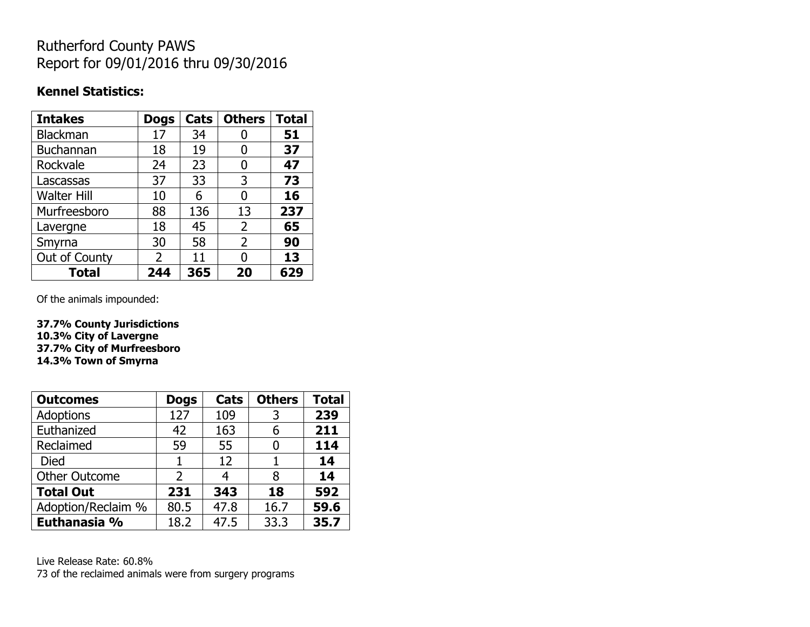## Rutherford County PAWS Report for 09/01/2016 thru 09/30/2016

### **Kennel Statistics:**

| <b>Intakes</b>     | <b>Dogs</b> | Cats | <b>Others</b> | <b>Total</b> |
|--------------------|-------------|------|---------------|--------------|
| <b>Blackman</b>    | 17          | 34   | U             | 51           |
| <b>Buchannan</b>   | 18          | 19   | 0             | 37           |
| Rockvale           | 24          | 23   | 0             | 47           |
| Lascassas          | 37          | 33   | 3             | 73           |
| <b>Walter Hill</b> | 10          | 6    | 0             | 16           |
| Murfreesboro       | 88          | 136  | 13            | 237          |
| Lavergne           | 18          | 45   | 2             | 65           |
| Smyrna             | 30          | 58   | 2             | 90           |
| Out of County      | 2           | 11   | O             | 13           |
| Total              | 244         | 365  | 20            | 629          |

Of the animals impounded:

**37.7% County Jurisdictions 10.3% City of Lavergne 37.7% City of Murfreesboro 14.3% Town of Smyrna**

| <b>Outcomes</b>      | <b>Dogs</b>    | <b>Cats</b> | <b>Others</b> | <b>Total</b> |
|----------------------|----------------|-------------|---------------|--------------|
| <b>Adoptions</b>     | 127            | 109         | 3             | 239          |
| Euthanized           | 42             | 163         | 6             | 211          |
| Reclaimed            | 59             | 55          |               | 114          |
| <b>Died</b>          | 1              | 12          |               | 14           |
| <b>Other Outcome</b> | $\overline{2}$ |             | 8             | 14           |
| <b>Total Out</b>     | 231            | 343         | 18            | 592          |
| Adoption/Reclaim %   | 80.5           | 47.8        | 16.7          | 59.6         |
| Euthanasia %         | 18.2           | 47.5        | 33.3          | 35.7         |

Live Release Rate: 60.8% 73 of the reclaimed animals were from surgery programs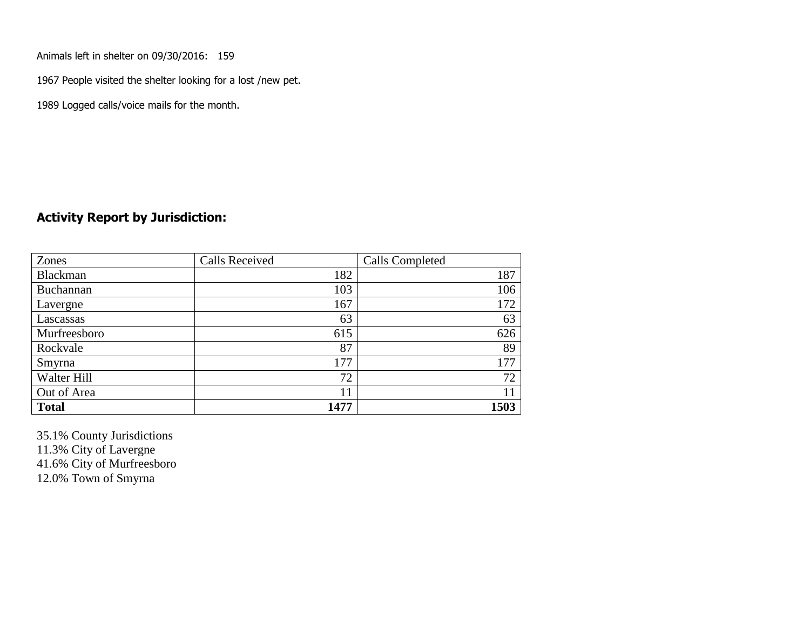Animals left in shelter on 09/30/2016: 159

1967 People visited the shelter looking for a lost /new pet.

1989 Logged calls/voice mails for the month.

#### **Activity Report by Jurisdiction:**

| Zones           | <b>Calls Received</b> | Calls Completed |
|-----------------|-----------------------|-----------------|
| <b>Blackman</b> | 182                   | 187             |
| Buchannan       | 103                   | 106             |
| Lavergne        | 167                   | 172             |
| Lascassas       | 63                    | 63              |
| Murfreesboro    | 615                   | 626             |
| Rockvale        | 87                    | 89              |
| Smyrna          | 177                   | 177             |
| Walter Hill     | 72                    | 72              |
| Out of Area     | 11                    | 11              |
| <b>Total</b>    | 1477                  | 1503            |

35.1% County Jurisdictions 11.3% City of Lavergne

41.6% City of Murfreesboro

12.0% Town of Smyrna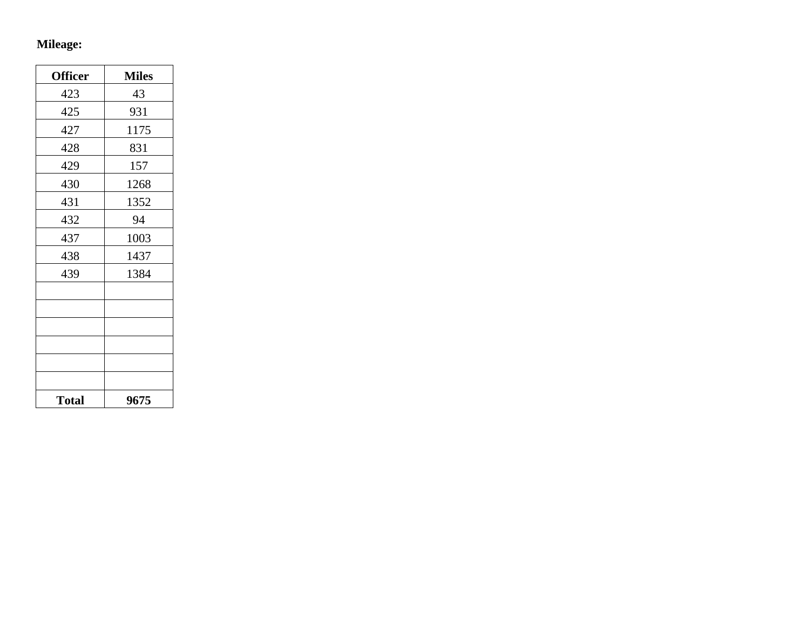# **Mileage:**

| <b>Officer</b> | <b>Miles</b> |
|----------------|--------------|
| 423            | 43           |
| 425            | 931          |
| 427            | 1175         |
| 428            | 831          |
| 429            | 157          |
| 430            | 1268         |
| 431            | 1352         |
| 432            | 94           |
| 437            | 1003         |
| 438            | 1437         |
| 439            | 1384         |
|                |              |
|                |              |
|                |              |
|                |              |
|                |              |
|                |              |
| <b>Total</b>   | 9675         |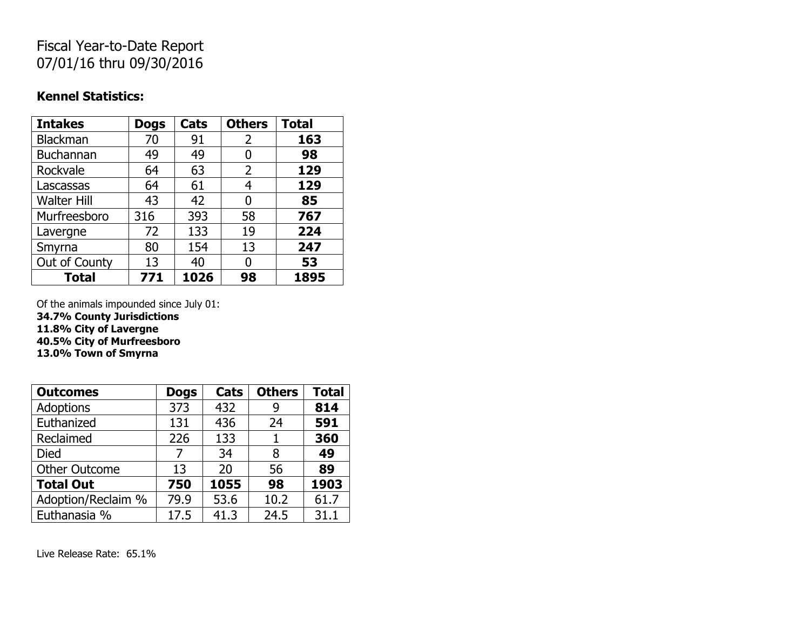## Fiscal Year-to-Date Report 07/01/16 thru 09/30/2016

### **Kennel Statistics:**

| <b>Intakes</b>     | <b>Dogs</b> | Cats | <b>Others</b> | <b>Total</b> |
|--------------------|-------------|------|---------------|--------------|
| Blackman           | 70          | 91   | 2             | 163          |
| <b>Buchannan</b>   | 49          | 49   | 0             | 98           |
| Rockvale           | 64          | 63   | 2             | 129          |
| Lascassas          | 64          | 61   | 4             | 129          |
| <b>Walter Hill</b> | 43          | 42   | 0             | 85           |
| Murfreesboro       | 316         | 393  | 58            | 767          |
| Lavergne           | 72          | 133  | 19            | 224          |
| Smyrna             | 80          | 154  | 13            | 247          |
| Out of County      | 13          | 40   | O             | 53           |
| <b>Total</b>       | 771         | 1026 | 98            | 1895         |

Of the animals impounded since July 01:

**34.7% County Jurisdictions**

**11.8% City of Lavergne**

**40.5% City of Murfreesboro**

**13.0% Town of Smyrna**

| <b>Outcomes</b>      | <b>Dogs</b> | Cats | <b>Others</b> | <b>Total</b> |
|----------------------|-------------|------|---------------|--------------|
| Adoptions            | 373         | 432  | 9             | 814          |
| Euthanized           | 131         | 436  | 24            | 591          |
| Reclaimed            | 226         | 133  |               | 360          |
| <b>Died</b>          | 7           | 34   | 8             | 49           |
| <b>Other Outcome</b> | 13          | 20   | 56            | 89           |
| <b>Total Out</b>     | 750         | 1055 | 98            | 1903         |
| Adoption/Reclaim %   | 79.9        | 53.6 | 10.2          | 61.7         |
| Euthanasia %         | 17.5        | 41.3 | 24.5          | 31.1         |

Live Release Rate: 65.1%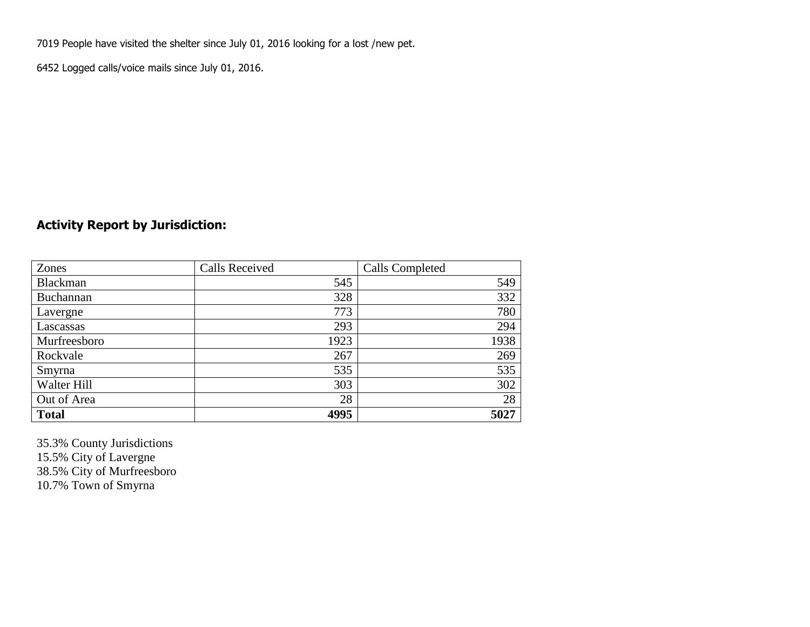7019 People have visited the shelter since July 01, 2016 looking for a lost /new pet.

6452 Logged calls/voice mails since July 01, 2016.

### **Activity Report by Jurisdiction:**

| Zones        | <b>Calls Received</b> | Calls Completed |
|--------------|-----------------------|-----------------|
| Blackman     | 545                   | 549             |
| Buchannan    | 328                   | 332             |
| Lavergne     | 773                   | 780             |
| Lascassas    | 293                   | 294             |
| Murfreesboro | 1923                  | 1938            |
| Rockvale     | 267                   | 269             |
| Smyrna       | 535                   | 535             |
| Walter Hill  | 303                   | 302             |
| Out of Area  | 28                    | 28              |
| <b>Total</b> | 4995                  | 5027            |

35.3% County Jurisdictions 15.5% City of Lavergne 38.5% City of Murfreesboro 10.7% Town of Smyrna